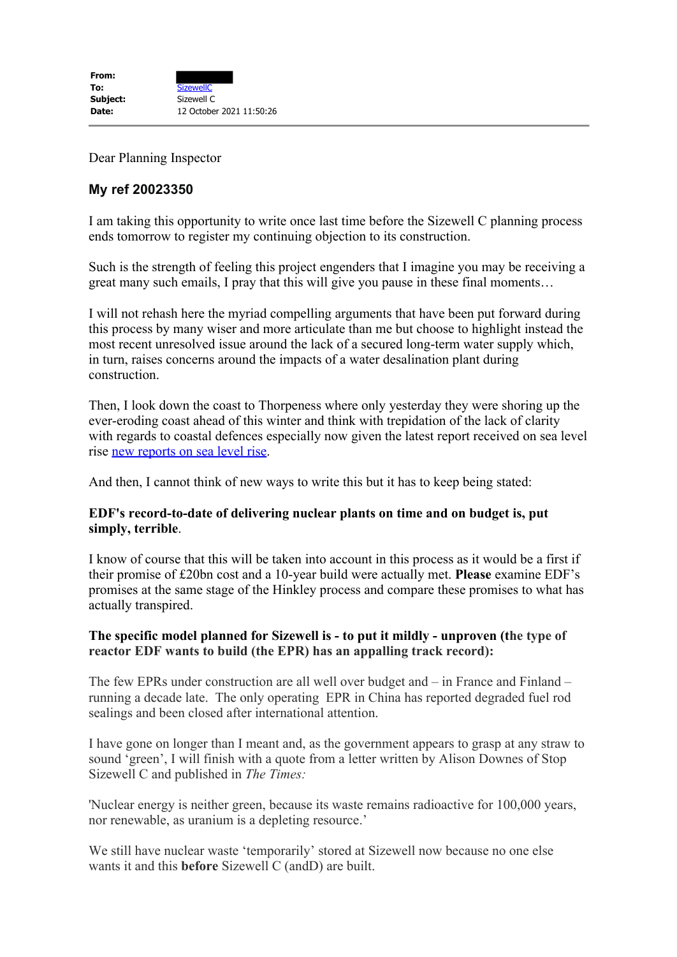Dear Planning Inspector

## **My ref 20023350**

I am taking this opportunity to write once last time before the Sizewell C planning process ends tomorrow to register my continuing objection to its construction.

Such is the strength of feeling this project engenders that I imagine you may be receiving a great many such emails, I pray that this will give you pause in these final moments…

I will not rehash here the myriad compelling arguments that have been put forward during this process by many wiser and more articulate than me but choose to highlight instead the most recent unresolved issue around the lack of a secured long-term water supply which, in turn, raises concerns around the impacts of a water desalination plant during construction.

Then, I look down the coast to Thorpeness where only yesterday they were shoring up the ever-eroding coast ahead of this winter and think with trepidation of the lack of clarity with regards to coastal defences especially now given the latest report received on sea level rise new reports on sea level rise.

And then, I cannot think of new ways to write this but it has to keep being stated:

## **EDF's record-to-date of delivering nuclear plants on time and on budget is, put simply, terrible**.

I know of course that this will be taken into account in this process as it would be a first if their promise of £20bn cost and a 10-year build were actually met. **Please** examine EDF's promises at the same stage of the Hinkley process and compare these promises to what has actually transpired.

## **The specific model planned for Sizewell is - to put it mildly - unproven (the type of reactor EDF wants to build (the EPR) has an appalling track record):**

The few EPRs under construction are all well over budget and – in France and Finland – running a decade late. The only operating EPR in China has reported degraded fuel rod sealings and been closed after international attention.

I have gone on longer than I meant and, as the government appears to grasp at any straw to sound 'green', I will finish with a quote from a letter written by Alison Downes of Stop Sizewell C and published in *The Times:*

'Nuclear energy is neither green, because its waste remains radioactive for 100,000 years, nor renewable, as uranium is a depleting resource.'

We still have nuclear waste 'temporarily' stored at Sizewell now because no one else wants it and this **before** Sizewell C (andD) are built.